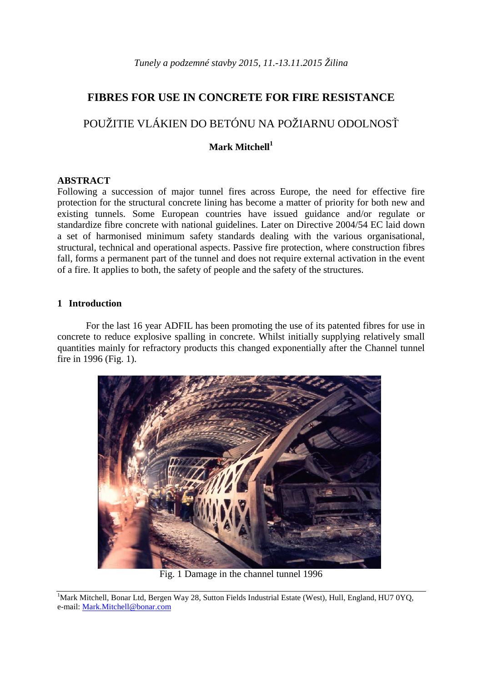# **FIBRES FOR USE IN CONCRETE FOR FIRE RESISTANCE**

# POUŽITIE VLÁKIEN DO BETÓNU NA POŽIARNU ODOLNOSŤ

# **Mark Mitchell<sup>1</sup>**

# **ABSTRACT**

Following a succession of major tunnel fires across Europe, the need for effective fire protection for the structural concrete lining has become a matter of priority for both new and existing tunnels. Some European countries have issued guidance and/or regulate or standardize fibre concrete with national guidelines. Later on Directive 2004/54 EC laid down a set of harmonised minimum safety standards dealing with the various organisational, structural, technical and operational aspects. Passive fire protection, where construction fibres fall, forms a permanent part of the tunnel and does not require external activation in the event of a fire. It applies to both, the safety of people and the safety of the structures.

# **1 Introduction**

For the last 16 year ADFIL has been promoting the use of its patented fibres for use in concrete to reduce explosive spalling in concrete. Whilst initially supplying relatively small quantities mainly for refractory products this changed exponentially after the Channel tunnel fire in 1996 (Fig. 1).



Fig. 1 Damage in the channel tunnel 1996

<sup>&</sup>lt;sup>1</sup>Mark Mitchell, Bonar Ltd, Bergen Way 28, Sutton Fields Industrial Estate (West), Hull, England, HU7 0YQ, e-mail: Mark.Mitchell@bonar.com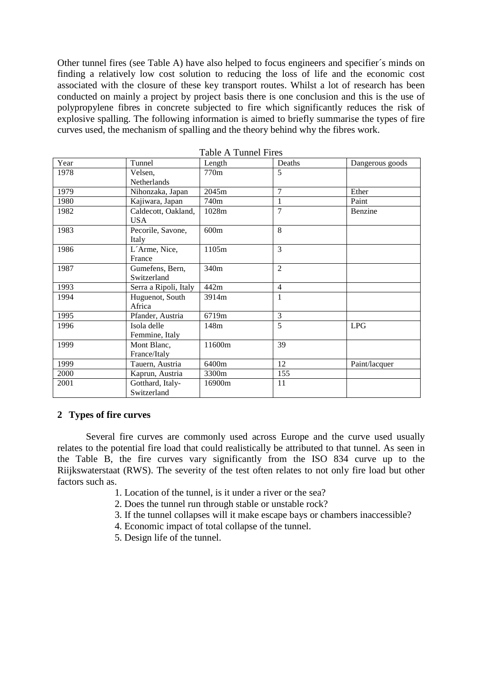Other tunnel fires (see Table A) have also helped to focus engineers and specifier´s minds on finding a relatively low cost solution to reducing the loss of life and the economic cost associated with the closure of these key transport routes. Whilst a lot of research has been conducted on mainly a project by project basis there is one conclusion and this is the use of polypropylene fibres in concrete subjected to fire which significantly reduces the risk of explosive spalling. The following information is aimed to briefly summarise the types of fire curves used, the mechanism of spalling and the theory behind why the fibres work.

| Year | Tunnel                | Length | Deaths         | Dangerous goods |
|------|-----------------------|--------|----------------|-----------------|
| 1978 | Velsen,               | 770m   | 5              |                 |
|      | Netherlands           |        |                |                 |
| 1979 | Nihonzaka, Japan      | 2045m  | $\overline{7}$ | Ether           |
| 1980 | Kajiwara, Japan       | 740m   | $\mathbf{1}$   | Paint           |
| 1982 | Caldecott, Oakland,   | 1028m  | $\overline{7}$ | Benzine         |
|      | <b>USA</b>            |        |                |                 |
| 1983 | Pecorile, Savone,     | 600m   | 8              |                 |
|      | Italy                 |        |                |                 |
| 1986 | L'Arme, Nice,         | 1105m  | 3              |                 |
|      | France                |        |                |                 |
| 1987 | Gumefens, Bern,       | 340m   | $\overline{2}$ |                 |
|      | Switzerland           |        |                |                 |
| 1993 | Serra a Ripoli, Italy | 442m   | $\overline{4}$ |                 |
| 1994 | Huguenot, South       | 3914m  | $\mathbf{1}$   |                 |
|      | Africa                |        |                |                 |
| 1995 | Pfander, Austria      | 6719m  | 3              |                 |
| 1996 | Isola delle           | 148m   | 5              | LPG             |
|      | Femmine, Italy        |        |                |                 |
| 1999 | Mont Blanc,           | 11600m | 39             |                 |
|      | France/Italy          |        |                |                 |
| 1999 | Tauern, Austria       | 6400m  | 12             | Paint/lacquer   |
| 2000 | Kaprun, Austria       | 3300m  | 155            |                 |
| 2001 | Gotthard, Italy-      | 16900m | 11             |                 |
|      | Switzerland           |        |                |                 |

Table A Tunnel Fires

#### **2 Types of fire curves**

Several fire curves are commonly used across Europe and the curve used usually relates to the potential fire load that could realistically be attributed to that tunnel. As seen in the Table B, the fire curves vary significantly from the ISO 834 curve up to the Riijkswaterstaat (RWS). The severity of the test often relates to not only fire load but other factors such as.

- 1. Location of the tunnel, is it under a river or the sea?
- 2. Does the tunnel run through stable or unstable rock?
- 3. If the tunnel collapses will it make escape bays or chambers inaccessible?
- 4. Economic impact of total collapse of the tunnel.
- 5. Design life of the tunnel.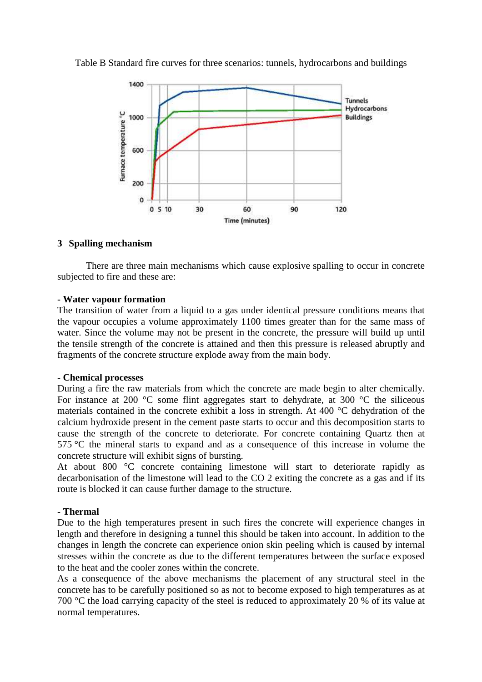

Table B Standard fire curves for three scenarios: tunnels, hydrocarbons and buildings

### **3 Spalling mechanism**

There are three main mechanisms which cause explosive spalling to occur in concrete subjected to fire and these are:

#### **- Water vapour formation**

The transition of water from a liquid to a gas under identical pressure conditions means that the vapour occupies a volume approximately 1100 times greater than for the same mass of water. Since the volume may not be present in the concrete, the pressure will build up until the tensile strength of the concrete is attained and then this pressure is released abruptly and fragments of the concrete structure explode away from the main body.

#### **- Chemical processes**

During a fire the raw materials from which the concrete are made begin to alter chemically. For instance at 200  $\degree$ C some flint aggregates start to dehydrate, at 300  $\degree$ C the siliceous materials contained in the concrete exhibit a loss in strength. At 400 °C dehydration of the calcium hydroxide present in the cement paste starts to occur and this decomposition starts to cause the strength of the concrete to deteriorate. For concrete containing Quartz then at 575 °C the mineral starts to expand and as a consequence of this increase in volume the concrete structure will exhibit signs of bursting.

At about 800 °C concrete containing limestone will start to deteriorate rapidly as decarbonisation of the limestone will lead to the CO 2 exiting the concrete as a gas and if its route is blocked it can cause further damage to the structure.

#### **- Thermal**

Due to the high temperatures present in such fires the concrete will experience changes in length and therefore in designing a tunnel this should be taken into account. In addition to the changes in length the concrete can experience onion skin peeling which is caused by internal stresses within the concrete as due to the different temperatures between the surface exposed to the heat and the cooler zones within the concrete.

As a consequence of the above mechanisms the placement of any structural steel in the concrete has to be carefully positioned so as not to become exposed to high temperatures as at 700 °C the load carrying capacity of the steel is reduced to approximately 20 % of its value at normal temperatures.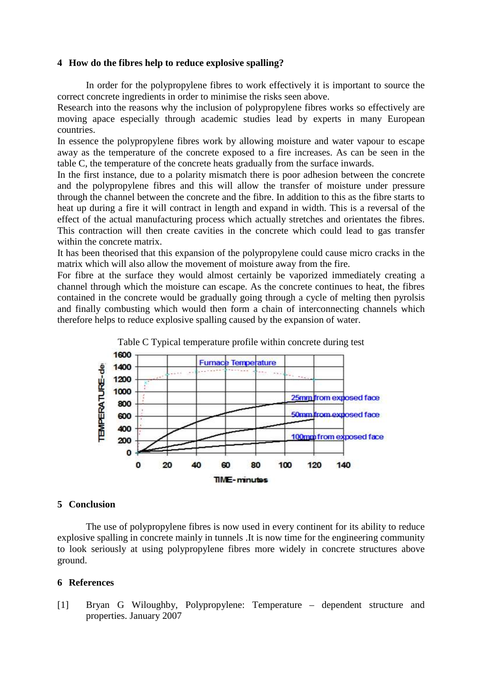### **4 How do the fibres help to reduce explosive spalling?**

In order for the polypropylene fibres to work effectively it is important to source the correct concrete ingredients in order to minimise the risks seen above.

Research into the reasons why the inclusion of polypropylene fibres works so effectively are moving apace especially through academic studies lead by experts in many European countries.

In essence the polypropylene fibres work by allowing moisture and water vapour to escape away as the temperature of the concrete exposed to a fire increases. As can be seen in the table C, the temperature of the concrete heats gradually from the surface inwards.

In the first instance, due to a polarity mismatch there is poor adhesion between the concrete and the polypropylene fibres and this will allow the transfer of moisture under pressure through the channel between the concrete and the fibre. In addition to this as the fibre starts to heat up during a fire it will contract in length and expand in width. This is a reversal of the effect of the actual manufacturing process which actually stretches and orientates the fibres. This contraction will then create cavities in the concrete which could lead to gas transfer within the concrete matrix.

It has been theorised that this expansion of the polypropylene could cause micro cracks in the matrix which will also allow the movement of moisture away from the fire.

For fibre at the surface they would almost certainly be vaporized immediately creating a channel through which the moisture can escape. As the concrete continues to heat, the fibres contained in the concrete would be gradually going through a cycle of melting then pyrolsis and finally combusting which would then form a chain of interconnecting channels which therefore helps to reduce explosive spalling caused by the expansion of water.



# **5 Conclusion**

The use of polypropylene fibres is now used in every continent for its ability to reduce explosive spalling in concrete mainly in tunnels .It is now time for the engineering community to look seriously at using polypropylene fibres more widely in concrete structures above ground.

## **6 References**

[1] Bryan G Wiloughby, Polypropylene: Temperature – dependent structure and properties. January 2007